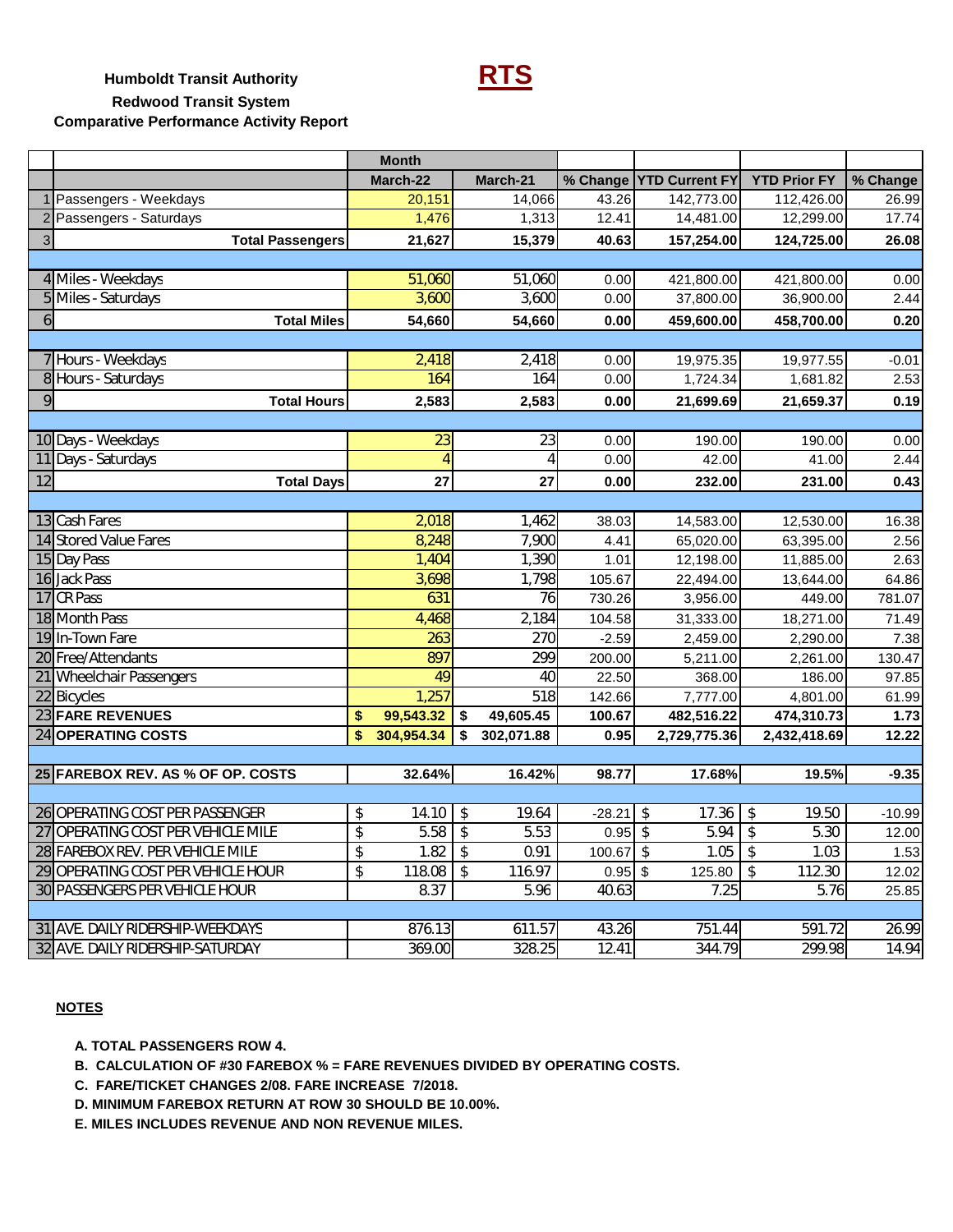**Humboldt Transit Authority RTS Redwood Transit System Comparative Performance Activity Report**

|              |                                    | <b>Month</b>                                   |                                  |             |                           |                                   |          |
|--------------|------------------------------------|------------------------------------------------|----------------------------------|-------------|---------------------------|-----------------------------------|----------|
|              |                                    | March-22                                       | March-21                         |             | % Change   YTD Current FY | <b>YTD Prior FY</b>               | % Change |
|              | Passengers - Weekdays              | 20,151                                         | 14,066                           | 43.26       | 142,773.00                | 112,426.00                        | 26.99    |
|              | Passengers - Saturdays             | 1,476                                          | 1,313                            | 12.41       | 14,481.00                 | 12,299.00                         | 17.74    |
| $\mathbf{3}$ | <b>Total Passengers</b>            | 21,627                                         | 15,379                           | 40.63       | 157,254.00                | 124,725.00                        | 26.08    |
|              |                                    |                                                |                                  |             |                           |                                   |          |
|              | 4 Miles - Weekdays                 | 51,060                                         | 51,060                           | 0.00        | 421,800.00                | 421,800.00                        | 0.00     |
|              | 5 Miles - Saturdays                | 3,600                                          | 3,600                            | 0.00        | 37,800.00                 | 36,900.00                         | 2.44     |
| 6            | <b>Total Miles</b>                 | 54,660                                         | 54,660                           | 0.00        | 459,600.00                | 458,700.00                        | 0.20     |
|              |                                    |                                                |                                  |             |                           |                                   |          |
|              | 7 Hours - Weekdays                 | 2,418                                          | 2,418                            | 0.00        | 19,975.35                 | 19,977.55                         | $-0.01$  |
|              | 8 Hours - Saturdays                | 164                                            | 164                              | 0.00        | 1,724.34                  | 1,681.82                          | 2.53     |
| 9            | <b>Total Hours</b>                 | 2,583                                          | 2,583                            | 0.00        | 21,699.69                 | 21,659.37                         | 0.19     |
|              |                                    |                                                |                                  |             |                           |                                   |          |
|              | 10 Days - Weekdays                 | 23                                             | 23                               | 0.00        | 190.00                    | 190.00                            | 0.00     |
| 11           | Days - Saturdays                   | 4                                              | 4                                | 0.00        | 42.00                     | 41.00                             | 2.44     |
| 12           | <b>Total Days</b>                  | 27                                             | 27                               | 0.00        | 232.00                    | 231.00                            | 0.43     |
|              |                                    |                                                |                                  |             |                           |                                   |          |
|              | 13 Cash Fares                      | 2,018                                          | 1,462                            | 38.03       | 14,583.00                 | 12,530.00                         | 16.38    |
|              | 14 Stored Value Fares              | 8,248                                          | 7,900                            | 4.41        | 65,020.00                 | 63,395.00                         | 2.56     |
|              | 15 Day Pass                        | 1,404                                          | 1,390                            | 1.01        | 12,198.00                 | 11,885.00                         | 2.63     |
|              | 16 Jack Pass                       | 3,698                                          | 1,798                            | 105.67      | 22,494.00                 | 13,644.00                         | 64.86    |
|              | 17 CR Pass                         | 631                                            | 76                               | 730.26      | 3,956.00                  | 449.00                            | 781.07   |
|              | 18 Month Pass                      | 4,468                                          | 2,184                            | 104.58      | 31,333.00                 | 18,271.00                         | 71.49    |
|              | 19 In-Town Fare                    | 263                                            | 270                              | $-2.59$     | 2,459.00                  | 2,290.00                          | 7.38     |
|              | 20 Free/Attendants                 | 897                                            | 299                              | 200.00      | 5,211.00                  | 2,261.00                          | 130.47   |
|              | 21 Wheelchair Passengers           | 49                                             | 40                               | 22.50       | 368.00                    | 186.00                            | 97.85    |
|              | 22 Bicycles                        | 1,257                                          | 518                              | 142.66      | 7,777.00                  | 4,801.00                          | 61.99    |
|              | 23 FARE REVENUES                   | 99,543.32<br>\$                                | 49,605.45<br>\$                  | 100.67      | 482,516.22                | 474,310.73                        | 1.73     |
|              | 24 OPERATING COSTS                 | \$<br>304,954.34                               | 302,071.88<br>\$                 | 0.95        | 2,729,775.36              | 2,432,418.69                      | 12.22    |
|              |                                    |                                                |                                  |             |                           |                                   |          |
|              | 25 FAREBOX REV. AS % OF OP. COSTS  | 32.64%                                         | 16.42%                           | 98.77       | 17.68%                    | 19.5%                             | $-9.35$  |
|              | 26 OPERATING COST PER PASSENGER    | 14.10<br>\$                                    | $\sqrt[6]{\frac{1}{2}}$<br>19.64 | $-28.21$ \$ | 17.36                     | \$<br>19.50                       | $-10.99$ |
|              | 27 OPERATING COST PER VEHICLE MILE | $\boldsymbol{\boldsymbol{\mathsf{S}}}$<br>5.58 | $\sqrt[6]{2}$<br>5.53            | $0.95$ \$   | 5.94                      | \$<br>5.30                        | 12.00    |
|              | 28 FAREBOX REV. PER VEHICLE MILE   | \$<br>$1.82 \downarrow$ \$                     | 0.91                             |             | $1.05$   \$               | 1.03                              | 1.53     |
|              | 29 OPERATING COST PER VEHICLE HOUR | $\overline{\mathcal{S}}$<br>118.08             | \$<br>116.97                     | $0.95$ \$   | 125.80                    | $\sqrt[6]{\frac{1}{2}}$<br>112.30 | 12.02    |
|              | 30 PASSENGERS PER VEHICLE HOUR     | 8.37                                           | 5.96                             | 40.63       | 7.25                      | 5.76                              | 25.85    |
|              |                                    |                                                |                                  |             |                           |                                   |          |
|              | 31 AVE. DAILY RIDERSHIP-WEEKDAYS   | 876.13                                         | 611.57                           | 43.26       | 751.44                    | 591.72                            | 26.99    |
|              | 32 AVE. DAILY RIDERSHIP-SATURDAY   | 369.00                                         | 328.25                           | 12.41       | 344.79                    | 299.98                            | 14.94    |
|              |                                    |                                                |                                  |             |                           |                                   |          |

### **NOTES**

 **A. TOTAL PASSENGERS ROW 4.**

 **B. CALCULATION OF #30 FAREBOX % = FARE REVENUES DIVIDED BY OPERATING COSTS.**

 **C. FARE/TICKET CHANGES 2/08. FARE INCREASE 7/2018.**

 **D. MINIMUM FAREBOX RETURN AT ROW 30 SHOULD BE 10.00%.**

 **E. MILES INCLUDES REVENUE AND NON REVENUE MILES.**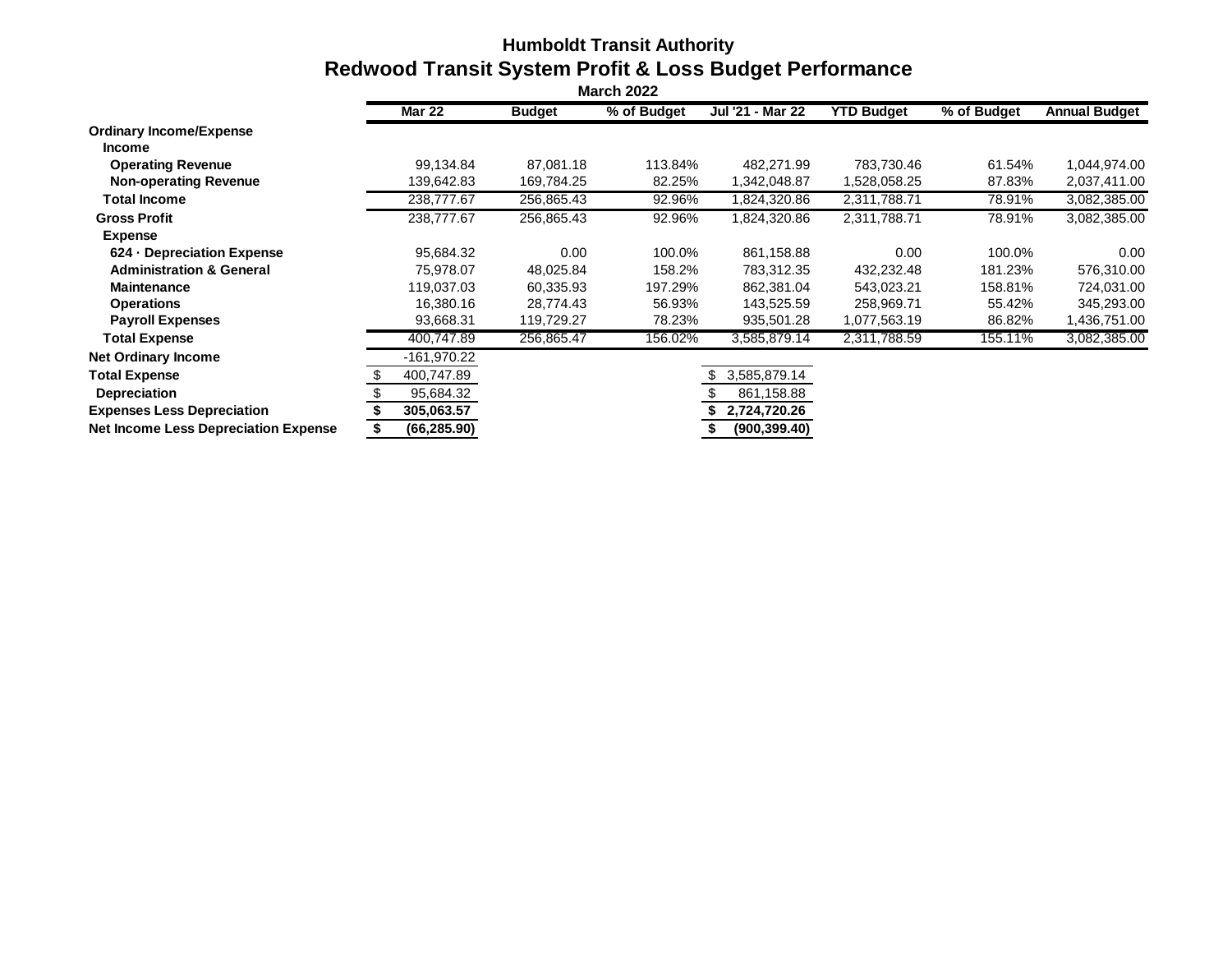# **Humboldt Transit Authority Redwood Transit System Profit & Loss Budget Performance**

| <b>March 2022</b>                           |               |               |             |                  |                   |             |                      |  |  |  |
|---------------------------------------------|---------------|---------------|-------------|------------------|-------------------|-------------|----------------------|--|--|--|
|                                             | <b>Mar 22</b> | <b>Budget</b> | % of Budget | Jul '21 - Mar 22 | <b>YTD Budget</b> | % of Budget | <b>Annual Budget</b> |  |  |  |
| <b>Ordinary Income/Expense</b>              |               |               |             |                  |                   |             |                      |  |  |  |
| <b>Income</b>                               |               |               |             |                  |                   |             |                      |  |  |  |
| <b>Operating Revenue</b>                    | 99,134.84     | 87.081.18     | 113.84%     | 482.271.99       | 783,730.46        | 61.54%      | 1,044,974.00         |  |  |  |
| <b>Non-operating Revenue</b>                | 139,642.83    | 169,784.25    | 82.25%      | 1,342,048.87     | 1,528,058.25      | 87.83%      | 2,037,411.00         |  |  |  |
| Total Income                                | 238,777.67    | 256,865.43    | 92.96%      | 1,824,320.86     | 2,311,788.71      | 78.91%      | 3,082,385.00         |  |  |  |
| <b>Gross Profit</b>                         | 238,777.67    | 256,865.43    | 92.96%      | 1,824,320.86     | 2,311,788.71      | 78.91%      | 3,082,385.00         |  |  |  |
| <b>Expense</b>                              |               |               |             |                  |                   |             |                      |  |  |  |
| 624 - Depreciation Expense                  | 95.684.32     | 0.00          | 100.0%      | 861,158.88       | 0.00              | 100.0%      | 0.00 <sub>1</sub>    |  |  |  |
| <b>Administration &amp; General</b>         | 75,978.07     | 48,025.84     | 158.2%      | 783,312.35       | 432,232.48        | 181.23%     | 576,310.00           |  |  |  |
| <b>Maintenance</b>                          | 119,037.03    | 60,335.93     | 197.29%     | 862,381.04       | 543,023.21        | 158.81%     | 724,031.00           |  |  |  |
| <b>Operations</b>                           | 16,380.16     | 28,774.43     | 56.93%      | 143,525.59       | 258,969.71        | 55.42%      | 345,293.00           |  |  |  |
| <b>Payroll Expenses</b>                     | 93,668.31     | 119,729.27    | 78.23%      | 935,501.28       | 1,077,563.19      | 86.82%      | 1,436,751.00         |  |  |  |
| <b>Total Expense</b>                        | 400,747.89    | 256,865.47    | 156.02%     | 3,585,879.14     | 2,311,788.59      | 155.11%     | 3,082,385.00         |  |  |  |
| <b>Net Ordinary Income</b>                  | $-161,970.22$ |               |             |                  |                   |             |                      |  |  |  |
| <b>Total Expense</b>                        | 400,747.89    |               |             | 3,585,879.14     |                   |             |                      |  |  |  |
| <b>Depreciation</b>                         | 95,684.32     |               |             | 861,158.88       |                   |             |                      |  |  |  |
| <b>Expenses Less Depreciation</b>           | 305,063.57    |               |             | 2,724,720.26     |                   |             |                      |  |  |  |
| <b>Net Income Less Depreciation Expense</b> | (66, 285.90)  |               |             | (900, 399.40)    |                   |             |                      |  |  |  |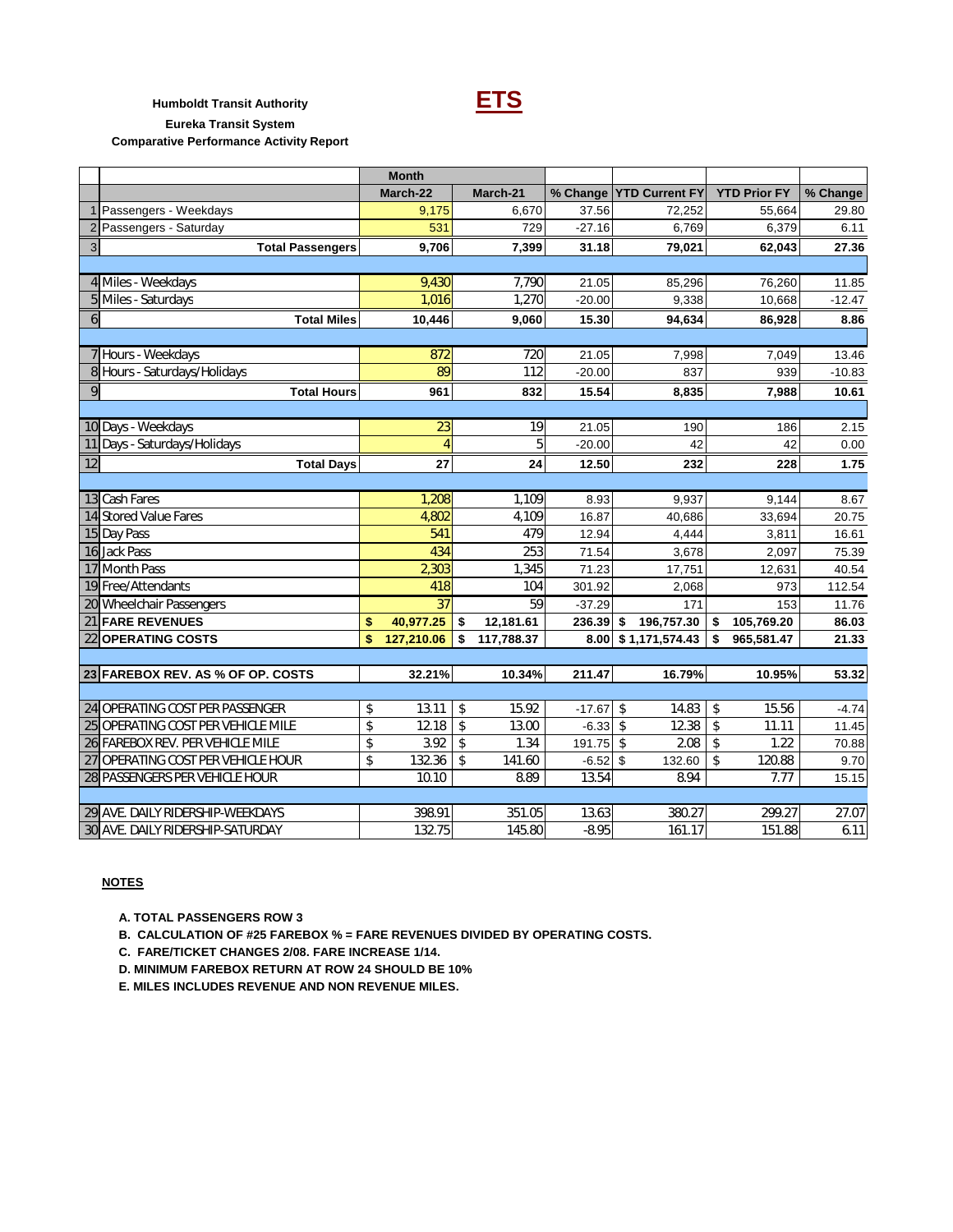

# **Humboldt Transit Authority ETS**

**Eureka Transit System**

**Comparative Performance Activity Report**

|    |                                    | <b>Month</b>     |                  |          |                         |                     |          |
|----|------------------------------------|------------------|------------------|----------|-------------------------|---------------------|----------|
|    |                                    | March-22         | March-21         |          | % Change YTD Current FY | <b>YTD Prior FY</b> | % Change |
|    | 1 Passengers - Weekdays            | 9,175            | 6,670            | 37.56    | 72,252                  | 55,664              | 29.80    |
|    | 2 Passengers - Saturday            | 531              | 729              | $-27.16$ | 6,769                   | 6,379               | 6.11     |
| 3  | <b>Total Passengers</b>            | 9,706            | 7,399            | 31.18    | 79,021                  | 62,043              | 27.36    |
|    |                                    |                  |                  |          |                         |                     |          |
|    | 4 Miles - Weekdays                 | 9.430            | 7,790            | 21.05    | 85,296                  | 76,260              | 11.85    |
|    | 5 Miles - Saturdays                | 1,016            | 1,270            | $-20.00$ | 9,338                   | 10,668              | $-12.47$ |
| 6  | <b>Total Miles</b>                 | 10,446           | 9,060            | 15.30    | 94,634                  | 86,928              | 8.86     |
|    |                                    |                  |                  |          |                         |                     |          |
|    | 7 Hours - Weekdays                 | 872              | 720              | 21.05    | 7,998                   | 7,049               | 13.46    |
|    | 8 Hours - Saturdays/Holidays       | 89               | 112              | $-20.00$ | 837                     | 939                 | $-10.83$ |
| 9  | <b>Total Hours</b>                 | 961              | 832              | 15.54    | 8,835                   | 7,988               | 10.61    |
|    |                                    |                  |                  |          |                         |                     |          |
|    | 10 Days - Weekdays                 | $\overline{23}$  | 19               | 21.05    | 190                     | 186                 | 2.15     |
|    | 11 Days - Saturdays/Holidays       | $\overline{4}$   | 5                | $-20.00$ | 42                      | 42                  | 0.00     |
| 12 | <b>Total Days</b>                  | 27               | 24               | 12.50    | 232                     | 228                 | 1.75     |
|    |                                    |                  |                  |          |                         |                     |          |
|    | 13 Cash Fares                      | 1,208            | 1,109            | 8.93     | 9,937                   | 9,144               | 8.67     |
|    | 14 Stored Value Fares              | 4,802            | 4,109            | 16.87    | 40,686                  | 33,694              | 20.75    |
|    | 15 Day Pass                        | 541              | 479              | 12.94    | 4,444                   | 3,811               | 16.61    |
|    | 16 Jack Pass                       | 434              | 253              | 71.54    | 3,678                   | 2,097               | 75.39    |
|    | 17 Month Pass                      | 2,303            | 1,345            | 71.23    | 17,751                  | 12,631              | 40.54    |
|    | 19 Free/Attendants                 | 418              | 104              | 301.92   | 2,068                   | 973                 | 112.54   |
|    | 20 Wheelchair Passengers           | 37               | 59               | $-37.29$ | 171                     | 153                 | 11.76    |
|    | 21 FARE REVENUES                   | \$<br>40,977.25  | \$<br>12,181.61  | 236.39   | 196,757.30<br>\$        | 105,769.20<br>\$    | 86.03    |
|    | 22 OPERATING COSTS                 | \$<br>127,210.06 | \$<br>117,788.37 |          | 8.00 \$1,171,574.43     | \$<br>965,581.47    | 21.33    |
|    |                                    |                  |                  |          |                         |                     |          |
|    | 23 FAREBOX REV. AS % OF OP. COSTS  | 32.21%           | 10.34%           | 211.47   | 16.79%                  | 10.95%              | 53.32    |
|    |                                    |                  |                  |          |                         |                     |          |
|    | 24 OPERATING COST PER PASSENGER    | \$<br>13.11      | \$<br>15.92      | $-17.67$ | \$<br>14.83             | \$<br>15.56         | $-4.74$  |
|    | 25 OPERATING COST PER VEHICLE MILE | \$<br>12.18      | \$<br>13.00      | $-6.33$  | 12.38<br>\$             | \$<br>11.11         | 11.45    |
|    | 26 FAREBOX REV. PER VEHICLE MILE   | \$<br>3.92       | \$<br>1.34       | 191.75   | 2.08<br>\$              | 1.22<br>\$          | 70.88    |
|    | 27 OPERATING COST PER VEHICLE HOUR | \$<br>132.36     | \$<br>141.60     | $-6.52$  | \$<br>132.60            | \$<br>120.88        | 9.70     |
|    | 28 PASSENGERS PER VEHICLE HOUR     | 10.10            | 8.89             | 13.54    | 8.94                    | 7.77                | 15.15    |
|    |                                    |                  |                  |          |                         |                     |          |
|    | 29 AVE. DAILY RIDERSHIP-WEEKDAYS   | 398.91           | 351.05           | 13.63    | 380.27                  | 299.27              | 27.07    |
|    | 30 AVE. DAILY RIDERSHIP-SATURDAY   | 132.75           | 145.80           | $-8.95$  | 161.17                  | 151.88              | 6.11     |

### **NOTES**

 **A. TOTAL PASSENGERS ROW 3**

 **B. CALCULATION OF #25 FAREBOX % = FARE REVENUES DIVIDED BY OPERATING COSTS.**

 **C. FARE/TICKET CHANGES 2/08. FARE INCREASE 1/14.**

 **D. MINIMUM FAREBOX RETURN AT ROW 24 SHOULD BE 10%**

 **E. MILES INCLUDES REVENUE AND NON REVENUE MILES.**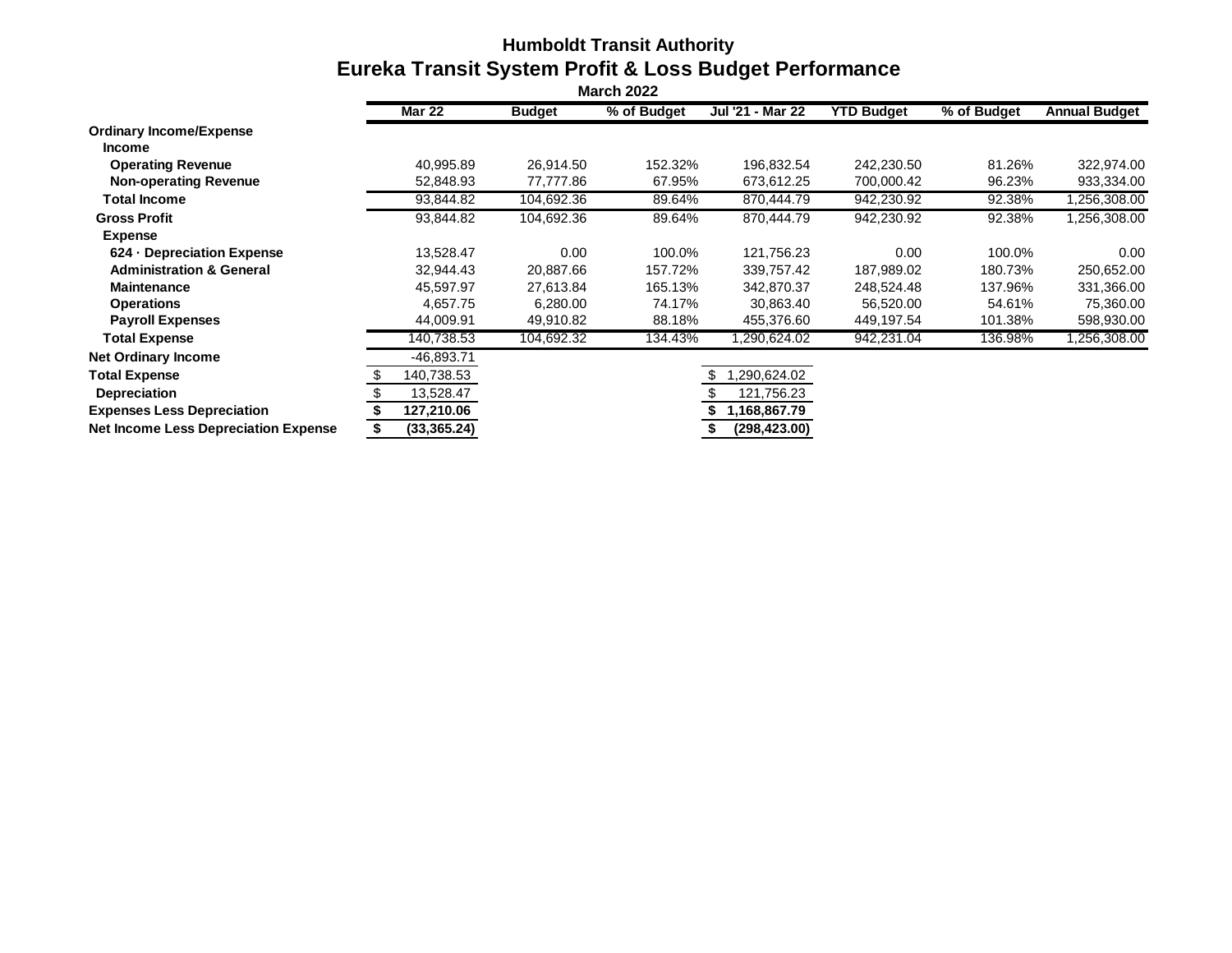# **Humboldt Transit Authority Eureka Transit System Profit & Loss Budget Performance**

|                                             | <b>Mar 22</b> | <b>Budget</b> | % of Budget | Jul '21 - Mar 22 | <b>YTD Budget</b> | % of Budget | <b>Annual Budget</b> |
|---------------------------------------------|---------------|---------------|-------------|------------------|-------------------|-------------|----------------------|
| <b>Ordinary Income/Expense</b>              |               |               |             |                  |                   |             |                      |
| <b>Income</b>                               |               |               |             |                  |                   |             |                      |
| <b>Operating Revenue</b>                    | 40,995.89     | 26,914.50     | 152.32%     | 196,832.54       | 242,230.50        | 81.26%      | 322,974.00           |
| <b>Non-operating Revenue</b>                | 52,848.93     | 77,777.86     | 67.95%      | 673,612.25       | 700,000.42        | 96.23%      | 933,334.00           |
| <b>Total Income</b>                         | 93,844.82     | 104,692.36    | 89.64%      | 870,444.79       | 942,230.92        | 92.38%      | ,256,308.00          |
| <b>Gross Profit</b>                         | 93,844.82     | 104,692.36    | 89.64%      | 870,444.79       | 942,230.92        | 92.38%      | 1,256,308.00         |
| <b>Expense</b>                              |               |               |             |                  |                   |             |                      |
| 624 - Depreciation Expense                  | 13,528.47     | 0.00          | 100.0%      | 121,756.23       | 0.00              | 100.0%      | 0.00                 |
| <b>Administration &amp; General</b>         | 32,944.43     | 20,887.66     | 157.72%     | 339,757.42       | 187,989.02        | 180.73%     | 250,652.00           |
| <b>Maintenance</b>                          | 45,597.97     | 27,613.84     | 165.13%     | 342,870.37       | 248,524.48        | 137.96%     | 331,366.00           |
| <b>Operations</b>                           | 4,657.75      | 6,280.00      | 74.17%      | 30.863.40        | 56,520.00         | 54.61%      | 75,360.00            |
| <b>Payroll Expenses</b>                     | 44,009.91     | 49,910.82     | 88.18%      | 455,376.60       | 449,197.54        | 101.38%     | 598,930.00           |
| <b>Total Expense</b>                        | 140,738.53    | 104,692.32    | 134.43%     | .290,624.02      | 942,231.04        | 136.98%     | ,256,308.00          |
| <b>Net Ordinary Income</b>                  | -46,893.71    |               |             |                  |                   |             |                      |
| <b>Total Expense</b>                        | 140,738.53    |               |             | ,290,624.02      |                   |             |                      |
| <b>Depreciation</b>                         | 13,528.47     |               |             | 121,756.23       |                   |             |                      |
| <b>Expenses Less Depreciation</b>           | 127,210.06    |               |             | 1,168,867.79     |                   |             |                      |
| <b>Net Income Less Depreciation Expense</b> | (33,365.24)   |               |             | (298, 423.00)    |                   |             |                      |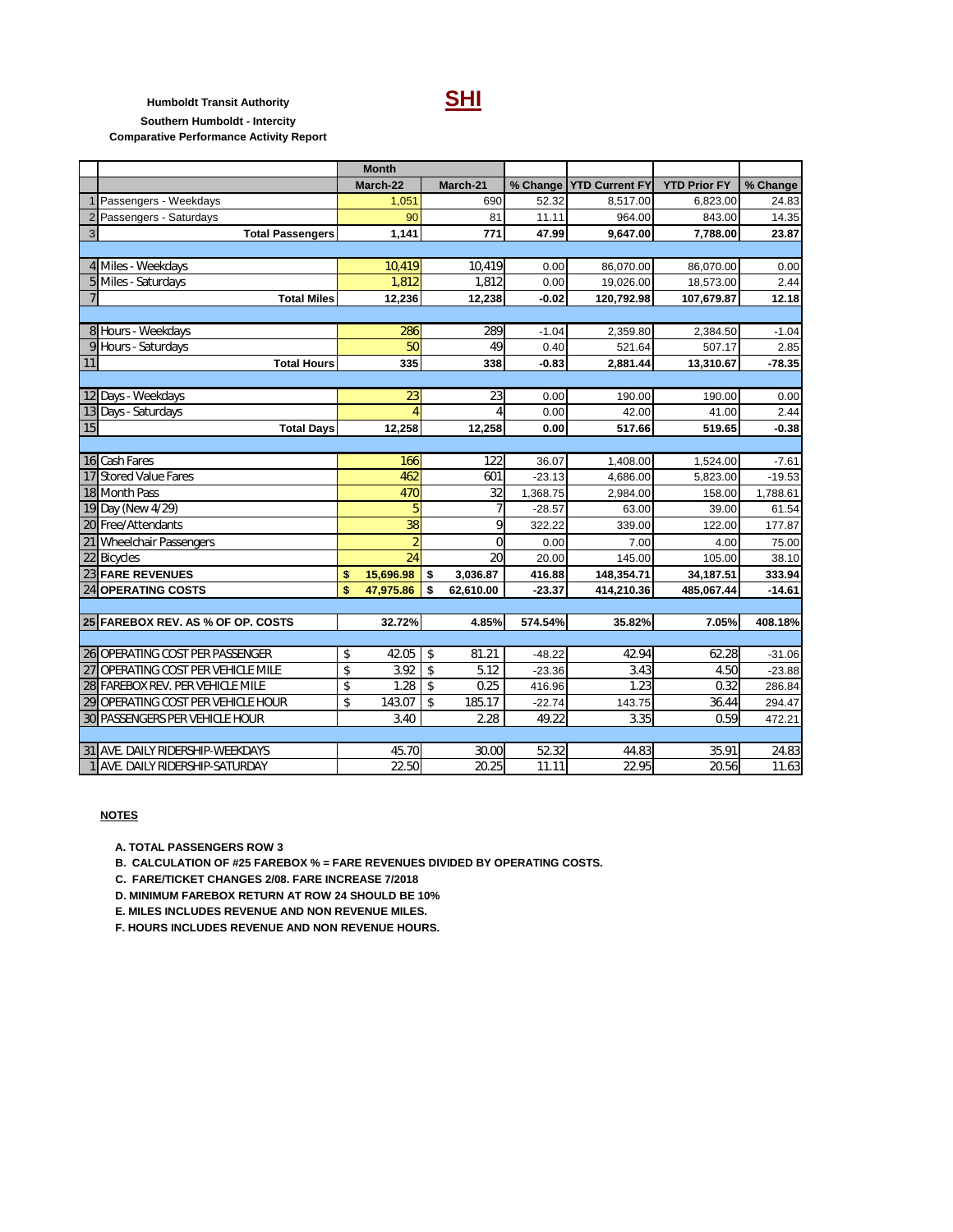**Humboldt Transit Authority SHI**

**Southern Humboldt - Intercity**

| <b>Comparative Performance Activity Report</b> |  |
|------------------------------------------------|--|
|------------------------------------------------|--|

|                |                                        | <b>Month</b>         |                    |                |          |                       |                     |          |
|----------------|----------------------------------------|----------------------|--------------------|----------------|----------|-----------------------|---------------------|----------|
|                |                                        | March-22             |                    | March-21       | % Change | <b>YTD Current FY</b> | <b>YTD Prior FY</b> | % Change |
|                | Passengers - Weekdays                  | 1,051                |                    | 690            | 52.32    | 8,517.00              | 6,823.00            | 24.83    |
| $\overline{2}$ | Passengers - Saturdays                 | 90                   |                    | 81             | 11.11    | 964.00                | 843.00              | 14.35    |
| 3              | <b>Total Passengers</b>                | 1,141                |                    | 771            | 47.99    | 9,647.00              | 7,788.00            | 23.87    |
|                |                                        |                      |                    |                |          |                       |                     |          |
|                | 4 Miles - Weekdays                     | 10,419               |                    | 10,419         | 0.00     | 86,070.00             | 86,070.00           | 0.00     |
| 5              | Miles - Saturdays                      | 1,812                |                    | 1,812          | 0.00     | 19,026.00             | 18,573.00           | 2.44     |
| $\overline{7}$ | <b>Total Miles</b>                     | 12,236               |                    | 12,238         | $-0.02$  | 120,792.98            | 107,679.87          | 12.18    |
|                |                                        |                      |                    |                |          |                       |                     |          |
|                | 8 Hours - Weekdays                     | 286                  |                    | 289            | $-1.04$  | 2,359.80              | 2,384.50            | $-1.04$  |
| 9              | Hours - Saturdays                      | 50                   |                    | 49             | 0.40     | 521.64                | 507.17              | 2.85     |
| 11             | <b>Total Hours</b>                     | 335                  |                    | 338            | $-0.83$  | 2,881.44              | 13,310.67           | $-78.35$ |
|                |                                        |                      |                    |                |          |                       |                     |          |
|                | 12 Days - Weekdays                     | 23                   |                    | 23             | 0.00     | 190.00                | 190.00              | 0.00     |
|                | 13 Days - Saturdays                    | $\overline{\Lambda}$ |                    | $\overline{A}$ | 0.00     | 42.00                 | 41.00               | 2.44     |
| 15             | <b>Total Days</b>                      | 12,258               |                    | 12,258         | 0.00     | 517.66                | 519.65              | $-0.38$  |
|                |                                        |                      |                    |                |          |                       |                     |          |
|                | 16 Cash Fares                          | 166                  |                    | 122            | 36.07    | 1,408.00              | 1,524.00            | $-7.61$  |
| 17             | <b>Stored Value Fares</b>              | 462                  |                    | 601            | $-23.13$ | 4,686.00              | 5,823.00            | $-19.53$ |
|                | 18 Month Pass                          | 470                  |                    | 32             | 1,368.75 | 2,984.00              | 158.00              | 1,788.61 |
|                | 19 Day (New 4/29)                      | 5                    |                    | $\overline{7}$ | $-28.57$ | 63.00                 | 39.00               | 61.54    |
|                | 20 Free/Attendants                     | 38                   |                    | 9              | 322.22   | 339.00                | 122.00              | 177.87   |
|                | 21 Wheelchair Passengers               | $\overline{2}$       |                    | $\overline{0}$ | 0.00     | 7.00                  | 4.00                | 75.00    |
|                | 22 Bicycles                            | 24                   |                    | 20             | 20.00    | 145.00                | 105.00              | 38.10    |
|                | 23 FARE REVENUES                       | \$<br>15,696.98      | \$                 | 3,036.87       | 416.88   | 148,354.71            | 34,187.51           | 333.94   |
|                | 24 OPERATING COSTS                     | \$<br>47,975.86      | \$                 | 62,610.00      | $-23.37$ | 414,210.36            | 485,067.44          | $-14.61$ |
|                |                                        |                      |                    |                |          |                       |                     |          |
|                | 25 FAREBOX REV. AS % OF OP. COSTS      | 32.72%               |                    | 4.85%          | 574.54%  | 35.82%                | 7.05%               | 408.18%  |
|                |                                        |                      |                    |                |          |                       |                     |          |
|                | 26 OPERATING COST PER PASSENGER        | \$<br>42.05          | \$                 | 81.21          | $-48.22$ | 42.94                 | 62.28               | $-31.06$ |
| 27             | <b>OPERATING COST PER VEHICLE MILE</b> | \$<br>3.92           | $\mathbf{\hat{S}}$ | 5.12           | $-23.36$ | 3.43                  | 4.50                | $-23.88$ |
|                | 28 FAREBOX REV. PER VEHICLE MILE       | \$<br>1.28           | \$                 | 0.25           | 416.96   | 1.23                  | 0.32                | 286.84   |
|                | 29 OPERATING COST PER VEHICLE HOUR     | \$<br>143.07         | \$                 | 185.17         | $-22.74$ | 143.75                | 36.44               | 294.47   |
|                | 30 PASSENGERS PER VEHICLE HOUR         | 3.40                 |                    | 2.28           | 49.22    | 3.35                  | 0.59                | 472.21   |
|                |                                        |                      |                    |                |          |                       |                     |          |
|                | 31 AVE. DAILY RIDERSHIP-WEEKDAYS       | 45.70                |                    | 30.00          | 52.32    | 44.83                 | 35.91               | 24.83    |
|                | AVE. DAILY RIDERSHIP-SATURDAY          | 22.50                |                    | 20.25          | 11.11    | 22.95                 | 20.56               | 11.63    |

#### **NOTES**

 **A. TOTAL PASSENGERS ROW 3**

 **B. CALCULATION OF #25 FAREBOX % = FARE REVENUES DIVIDED BY OPERATING COSTS.**

 **C. FARE/TICKET CHANGES 2/08. FARE INCREASE 7/2018**

 **D. MINIMUM FAREBOX RETURN AT ROW 24 SHOULD BE 10%**

 **E. MILES INCLUDES REVENUE AND NON REVENUE MILES.**

 **F. HOURS INCLUDES REVENUE AND NON REVENUE HOURS.**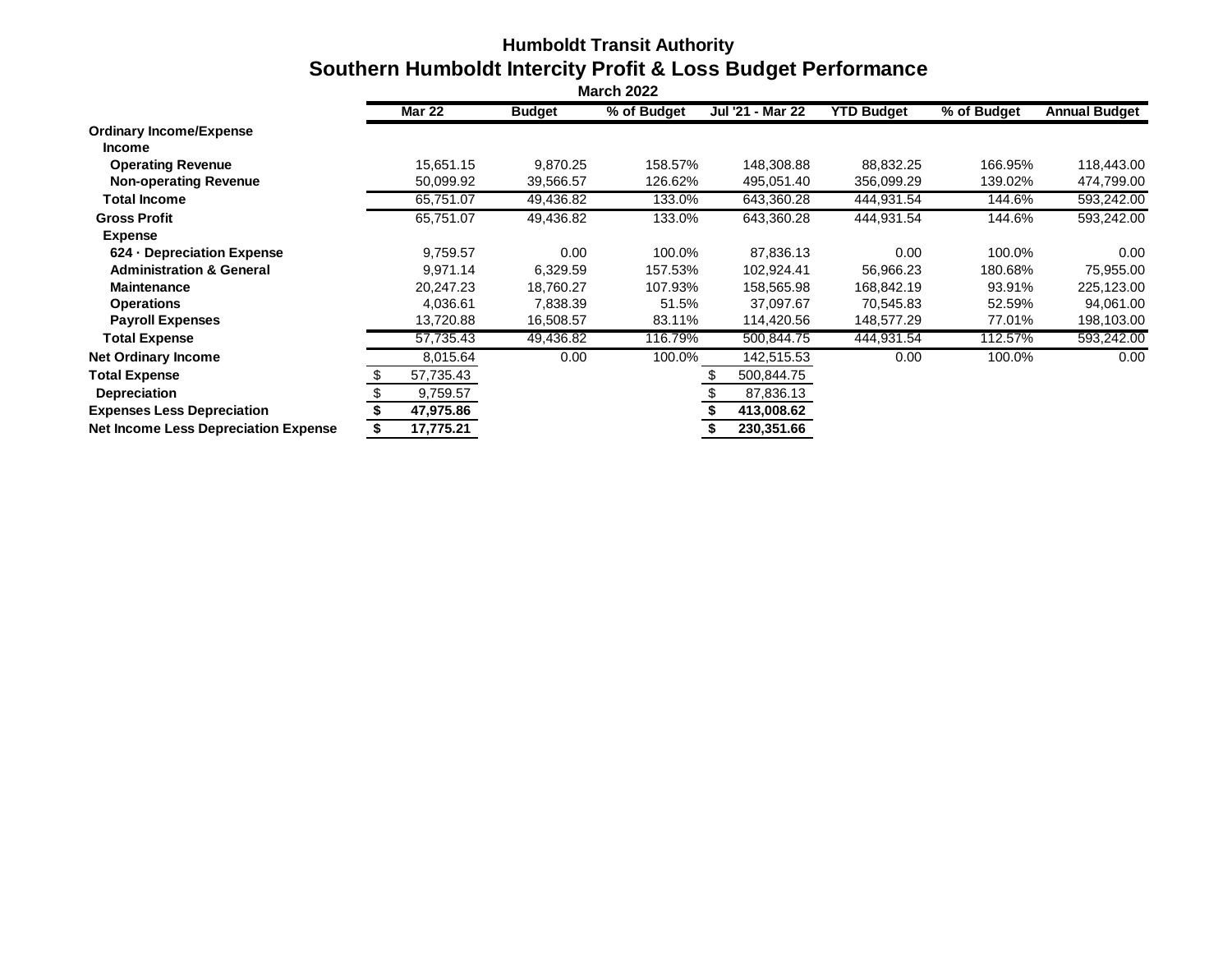# **Humboldt Transit Authority Southern Humboldt Intercity Profit & Loss Budget Performance**

|                                             | <b>Mar 22</b> | <b>Budget</b> | % of Budget | Jul '21 - Mar 22 | <b>YTD Budget</b> | % of Budget | <b>Annual Budget</b> |
|---------------------------------------------|---------------|---------------|-------------|------------------|-------------------|-------------|----------------------|
| <b>Ordinary Income/Expense</b>              |               |               |             |                  |                   |             |                      |
| <b>Income</b>                               |               |               |             |                  |                   |             |                      |
| <b>Operating Revenue</b>                    | 15,651.15     | 9,870.25      | 158.57%     | 148,308.88       | 88,832.25         | 166.95%     | 118,443.00           |
| <b>Non-operating Revenue</b>                | 50,099.92     | 39,566.57     | 126.62%     | 495,051.40       | 356,099.29        | 139.02%     | 474,799.00           |
| <b>Total Income</b>                         | 65,751.07     | 49,436.82     | 133.0%      | 643,360.28       | 444,931.54        | 144.6%      | 593,242.00           |
| <b>Gross Profit</b>                         | 65,751.07     | 49,436.82     | 133.0%      | 643,360.28       | 444,931.54        | 144.6%      | 593,242.00           |
| <b>Expense</b>                              |               |               |             |                  |                   |             |                      |
| 624 - Depreciation Expense                  | 9,759.57      | 0.00          | 100.0%      | 87.836.13        | 0.00              | 100.0%      | 0.00                 |
| <b>Administration &amp; General</b>         | 9,971.14      | 6,329.59      | 157.53%     | 102,924.41       | 56,966.23         | 180.68%     | 75,955.00            |
| <b>Maintenance</b>                          | 20,247.23     | 18,760.27     | 107.93%     | 158,565.98       | 168,842.19        | 93.91%      | 225,123.00           |
| <b>Operations</b>                           | 4,036.61      | 7,838.39      | 51.5%       | 37,097.67        | 70,545.83         | 52.59%      | 94,061.00            |
| <b>Payroll Expenses</b>                     | 13,720.88     | 16,508.57     | 83.11%      | 114,420.56       | 148,577.29        | 77.01%      | 198,103.00           |
| <b>Total Expense</b>                        | 57,735.43     | 49,436.82     | 116.79%     | 500,844.75       | 444,931.54        | 112.57%     | 593,242.00           |
| <b>Net Ordinary Income</b>                  | 8,015.64      | 0.00          | 100.0%      | 142,515.53       | 0.00              | 100.0%      | 0.00                 |
| <b>Total Expense</b>                        | 57,735.43     |               |             | 500,844.75       |                   |             |                      |
| <b>Depreciation</b>                         | 9,759.57      |               |             | 87,836.13        |                   |             |                      |
| <b>Expenses Less Depreciation</b>           | 47,975.86     |               |             | 413,008.62       |                   |             |                      |
| <b>Net Income Less Depreciation Expense</b> | 17,775.21     |               |             | 230,351.66       |                   |             |                      |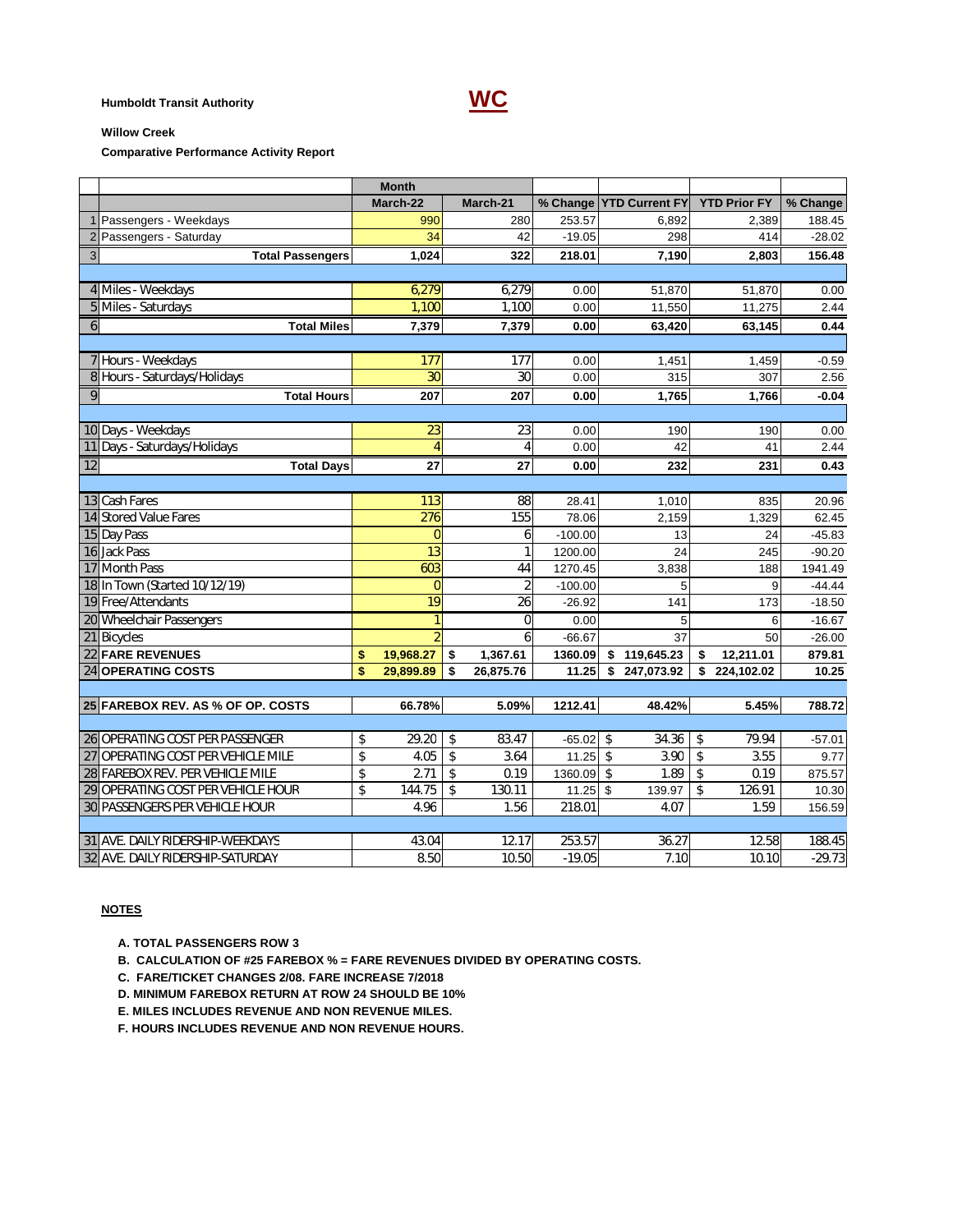# **Humboldt Transit Authority WC**



#### **Willow Creek**

**Comparative Performance Activity Report**

|                |                                    |    | <b>Month</b>    |    |                |           |                         |    |                     |          |  |
|----------------|------------------------------------|----|-----------------|----|----------------|-----------|-------------------------|----|---------------------|----------|--|
|                |                                    |    | March-22        |    | March-21       |           | % Change YTD Current FY |    | <b>YTD Prior FY</b> | % Change |  |
|                | 1 Passengers - Weekdays            |    | 990             |    | 280            | 253.57    | 6.892                   |    | 2,389               | 188.45   |  |
|                | 2 Passengers - Saturday            |    | 34              |    | 42             | $-19.05$  | 298                     |    | 414                 | $-28.02$ |  |
| $\overline{3}$ | <b>Total Passengers</b>            |    | 1,024           |    | 322            | 218.01    | 7,190                   |    | 2,803               | 156.48   |  |
|                |                                    |    |                 |    |                |           |                         |    |                     |          |  |
|                | 4 Miles - Weekdays                 |    | 6,279           |    | 6,279          | 0.00      | 51,870                  |    | 51,870              | 0.00     |  |
|                | 5 Miles - Saturdays                |    | 1,100           |    | 1,100          | 0.00      | 11,550                  |    | 11,275              | 2.44     |  |
| $\mathbf{6}$   | <b>Total Miles</b>                 |    | 7,379           |    | 7,379          | 0.00      | 63,420                  |    | 63,145              | 0.44     |  |
|                |                                    |    |                 |    |                |           |                         |    |                     |          |  |
|                | 7 Hours - Weekdays                 |    | 177             |    | 177            | 0.00      | 1,451                   |    | 1,459               | $-0.59$  |  |
|                | 8 Hours - Saturdays/Holidays       |    | $\overline{30}$ |    | 30             | 0.00      | 315                     |    | 307                 | 2.56     |  |
| 9              | <b>Total Hours</b>                 |    | 207             |    | 207            | 0.00      | 1,765                   |    | 1,766               | $-0.04$  |  |
|                |                                    |    |                 |    |                |           |                         |    |                     |          |  |
|                | 10 Days - Weekdays                 |    | 23              |    | 23             | 0.00      | 190                     |    | 190                 | 0.00     |  |
|                | 11 Days - Saturdays/Holidays       |    | $\overline{4}$  |    | $\overline{4}$ | 0.00      | 42                      |    | 41                  | 2.44     |  |
| 12             | <b>Total Days</b>                  |    | 27              |    | 27             | 0.00      | 232                     |    | 231                 | 0.43     |  |
|                |                                    |    |                 |    |                |           |                         |    |                     |          |  |
|                | 13 Cash Fares                      |    | 113             |    | 88             | 28.41     | 1,010                   |    | 835                 | 20.96    |  |
|                | 14 Stored Value Fares              |    | 276             |    | 155            | 78.06     | 2,159                   |    | 1,329               | 62.45    |  |
|                | 15 Day Pass                        |    | $\Omega$        |    | 6              | $-100.00$ | 13                      |    | 24                  | $-45.83$ |  |
|                | 16 Jack Pass                       |    | 13              |    | 1              | 1200.00   | 24                      |    | 245                 | $-90.20$ |  |
|                | 17 Month Pass                      |    | 603             |    | 44             | 1270.45   | 3,838                   |    | 188                 | 1941.49  |  |
|                | 18 In Town (Started 10/12/19)      |    | $\overline{0}$  |    | 2              | $-100.00$ | 5                       |    | 9                   | $-44.44$ |  |
|                | 19 Free/Attendants                 |    | $\overline{19}$ |    | 26             | $-26.92$  | 141                     |    | 173                 | $-18.50$ |  |
|                | 20 Wheelchair Passengers           |    | 1               |    | $\mathbf 0$    | 0.00      | 5                       |    | 6                   | $-16.67$ |  |
|                | 21 Bicycles                        |    | $\overline{2}$  |    | 6              | $-66.67$  | 37                      |    | 50                  | $-26.00$ |  |
|                | 22 FARE REVENUES                   | \$ | 19,968.27       | \$ | 1,367.61       | 1360.09   | 119,645.23<br>\$        | \$ | 12,211.01           | 879.81   |  |
|                | 24 OPERATING COSTS                 | \$ | 29.899.89       | \$ | 26,875.76      | 11.25     | \$<br>247,073.92        | \$ | 224,102.02          | 10.25    |  |
|                |                                    |    |                 |    |                |           |                         |    |                     |          |  |
|                | 25 FAREBOX REV. AS % OF OP. COSTS  |    | 66.78%          |    | 5.09%          | 1212.41   | 48.42%                  |    | 5.45%               | 788.72   |  |
|                |                                    |    |                 |    |                |           |                         |    |                     |          |  |
|                | 26 OPERATING COST PER PASSENGER    | \$ | 29.20           | \$ | 83.47          | $-65.02$  | \$<br>34.36             | \$ | 79.94               | $-57.01$ |  |
|                | 27 OPERATING COST PER VEHICLE MILE | \$ | 4.05            | \$ | 3.64           | 11.25     | $\mathsf{\$}$<br>3.90   | \$ | 3.55                | 9.77     |  |
|                | 28 FAREBOX REV. PER VEHICLE MILE   | \$ | 2.71            | \$ | 0.19           | 1360.09   | \$<br>1.89              | \$ | 0.19                | 875.57   |  |
|                | 29 OPERATING COST PER VEHICLE HOUR | \$ | 144.75          | \$ | 130.11         | 11.25     | \$<br>139.97            | \$ | 126.91              | 10.30    |  |
|                | 30 PASSENGERS PER VEHICLE HOUR     |    | 4.96            |    | 1.56           | 218.01    | 4.07                    |    | 1.59                | 156.59   |  |
|                |                                    |    |                 |    |                |           |                         |    |                     |          |  |
|                | 31 AVE. DAILY RIDERSHIP-WEEKDAYS   |    | 43.04           |    | 12.17          | 253.57    | 36.27                   |    | 12.58               | 188.45   |  |
|                | 32 AVE. DAILY RIDERSHIP-SATURDAY   |    | 8.50            |    | 10.50          | $-19.05$  | 7.10                    |    | 10.10               | $-29.73$ |  |

#### **NOTES**

 **A. TOTAL PASSENGERS ROW 3**

 **B. CALCULATION OF #25 FAREBOX % = FARE REVENUES DIVIDED BY OPERATING COSTS.**

- **C. FARE/TICKET CHANGES 2/08. FARE INCREASE 7/2018**
- **D. MINIMUM FAREBOX RETURN AT ROW 24 SHOULD BE 10%**
- **E. MILES INCLUDES REVENUE AND NON REVENUE MILES.**
- **F. HOURS INCLUDES REVENUE AND NON REVENUE HOURS.**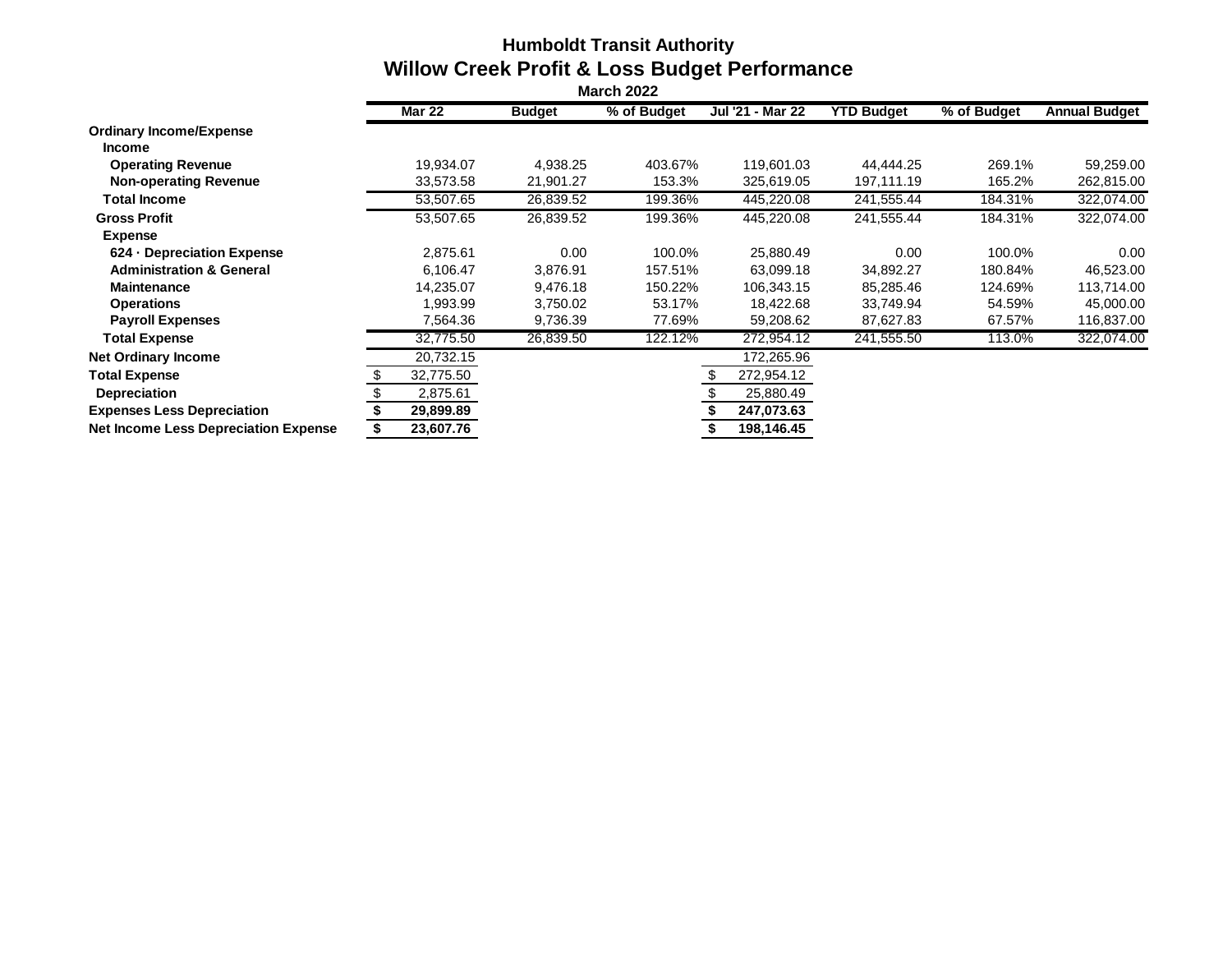# **Humboldt Transit Authority Willow Creek Profit & Loss Budget Performance**

|                                             | <b>Mar 22</b> | <b>Budget</b> | % of Budget | Jul '21 - Mar 22 | <b>YTD Budget</b> | % of Budget | <b>Annual Budget</b> |
|---------------------------------------------|---------------|---------------|-------------|------------------|-------------------|-------------|----------------------|
| <b>Ordinary Income/Expense</b>              |               |               |             |                  |                   |             |                      |
| <b>Income</b>                               |               |               |             |                  |                   |             |                      |
| <b>Operating Revenue</b>                    | 19.934.07     | 4.938.25      | 403.67%     | 119.601.03       | 44.444.25         | 269.1%      | 59,259.00            |
| <b>Non-operating Revenue</b>                | 33,573.58     | 21,901.27     | 153.3%      | 325,619.05       | 197,111.19        | 165.2%      | 262,815.00           |
| Total Income                                | 53,507.65     | 26,839.52     | 199.36%     | 445,220.08       | 241,555.44        | 184.31%     | 322,074.00           |
| <b>Gross Profit</b>                         | 53,507.65     | 26,839.52     | 199.36%     | 445,220.08       | 241,555.44        | 184.31%     | 322,074.00           |
| <b>Expense</b>                              |               |               |             |                  |                   |             |                      |
| 624 - Depreciation Expense                  | 2,875.61      | 0.00          | 100.0%      | 25,880.49        | 0.00              | 100.0%      | 0.00                 |
| <b>Administration &amp; General</b>         | 6,106.47      | 3,876.91      | 157.51%     | 63,099.18        | 34,892.27         | 180.84%     | 46,523.00            |
| <b>Maintenance</b>                          | 14,235.07     | 9,476.18      | 150.22%     | 106,343.15       | 85,285.46         | 124.69%     | 113,714.00           |
| <b>Operations</b>                           | 1,993.99      | 3,750.02      | 53.17%      | 18,422.68        | 33,749.94         | 54.59%      | 45,000.00            |
| <b>Payroll Expenses</b>                     | 7,564.36      | 9,736.39      | 77.69%      | 59,208.62        | 87,627.83         | 67.57%      | 116,837.00           |
| <b>Total Expense</b>                        | 32,775.50     | 26,839.50     | 122.12%     | 272,954.12       | 241,555.50        | 113.0%      | 322,074.00           |
| <b>Net Ordinary Income</b>                  | 20,732.15     |               |             | 172,265.96       |                   |             |                      |
| <b>Total Expense</b>                        | 32,775.50     |               |             | 272,954.12       |                   |             |                      |
| <b>Depreciation</b>                         | 2,875.61      |               |             | 25,880.49        |                   |             |                      |
| <b>Expenses Less Depreciation</b>           | 29,899.89     |               |             | 247,073.63       |                   |             |                      |
| <b>Net Income Less Depreciation Expense</b> | 23,607.76     |               |             | 198,146.45       |                   |             |                      |